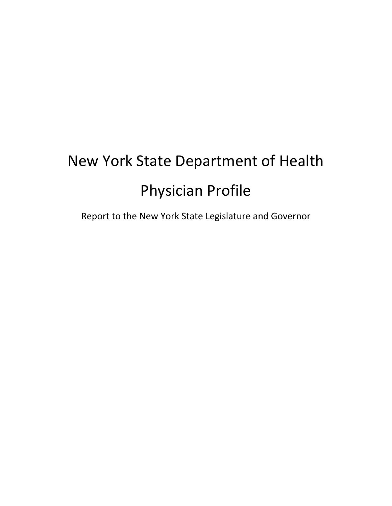# New York State Department of Health Physician Profile

Report to the New York State Legislature and Governor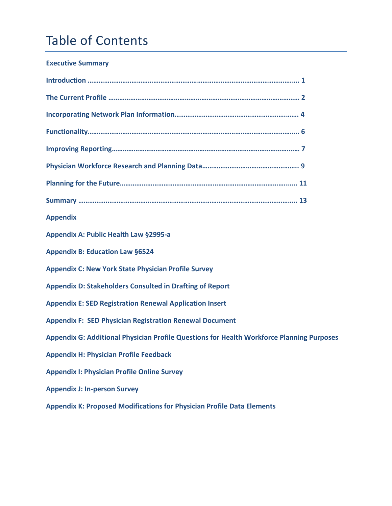# Table of Contents

#### **Executive Summary**

| <b>Appendix</b>                                                                           |
|-------------------------------------------------------------------------------------------|
| <b>Appendix A: Public Health Law §2995-a</b>                                              |
| <b>Appendix B: Education Law §6524</b>                                                    |
| <b>Appendix C: New York State Physician Profile Survey</b>                                |
| <b>Appendix D: Stakeholders Consulted in Drafting of Report</b>                           |
| <b>Appendix E: SED Registration Renewal Application Insert</b>                            |
| <b>Appendix F: SED Physician Registration Renewal Document</b>                            |
| Appendix G: Additional Physician Profile Questions for Health Workforce Planning Purposes |
| <b>Appendix H: Physician Profile Feedback</b>                                             |
| <b>Appendix I: Physician Profile Online Survey</b>                                        |
| <b>Appendix J: In-person Survey</b>                                                       |
| <b>Appendix K: Proposed Modifications for Physician Profile Data Elements</b>             |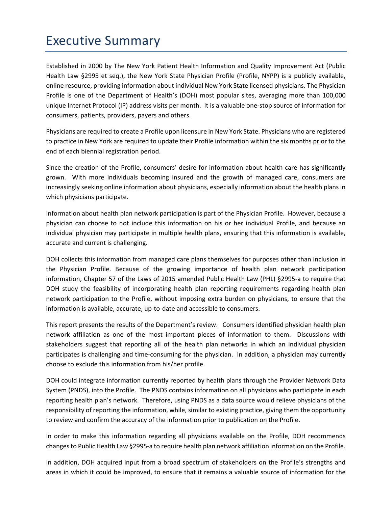### Executive Summary

Established in 2000 by The New York Patient Health Information and Quality Improvement Act (Public Health Law §2995 et seq.), the New York State Physician Profile (Profile, NYPP) is a publicly available, online resource, providing information about individual New York State licensed physicians. The Physician Profile is one of the Department of Health's (DOH) most popular sites, averaging more than 100,000 unique Internet Protocol (IP) address visits per month. It is a valuable one‐stop source of information for consumers, patients, providers, payers and others.

Physicians are required to create a Profile upon licensure in New York State. Physicians who are registered to practice in New York are required to update their Profile information within the six months prior to the end of each biennial registration period.

Since the creation of the Profile, consumers' desire for information about health care has significantly grown. With more individuals becoming insured and the growth of managed care, consumers are increasingly seeking online information about physicians, especially information about the health plans in which physicians participate.

Information about health plan network participation is part of the Physician Profile. However, because a physician can choose to not include this information on his or her individual Profile, and because an individual physician may participate in multiple health plans, ensuring that this information is available, accurate and current is challenging.

DOH collects this information from managed care plans themselves for purposes other than inclusion in the Physician Profile. Because of the growing importance of health plan network participation information, Chapter 57 of the Laws of 2015 amended Public Health Law (PHL) §2995‐a to require that DOH study the feasibility of incorporating health plan reporting requirements regarding health plan network participation to the Profile, without imposing extra burden on physicians, to ensure that the information is available, accurate, up-to-date and accessible to consumers.

This report presents the results of the Department's review. Consumers identified physician health plan network affiliation as one of the most important pieces of information to them. Discussions with stakeholders suggest that reporting all of the health plan networks in which an individual physician participates is challenging and time‐consuming for the physician. In addition, a physician may currently choose to exclude this information from his/her profile.

DOH could integrate information currently reported by health plans through the Provider Network Data System (PNDS), into the Profile. The PNDS contains information on all physicians who participate in each reporting health plan's network. Therefore, using PNDS as a data source would relieve physicians of the responsibility of reporting the information, while, similar to existing practice, giving them the opportunity to review and confirm the accuracy of the information prior to publication on the Profile.

In order to make this information regarding all physicians available on the Profile, DOH recommends changesto Public Health Law §2995‐a to require health plan network affiliation information on the Profile.

In addition, DOH acquired input from a broad spectrum of stakeholders on the Profile's strengths and areas in which it could be improved, to ensure that it remains a valuable source of information for the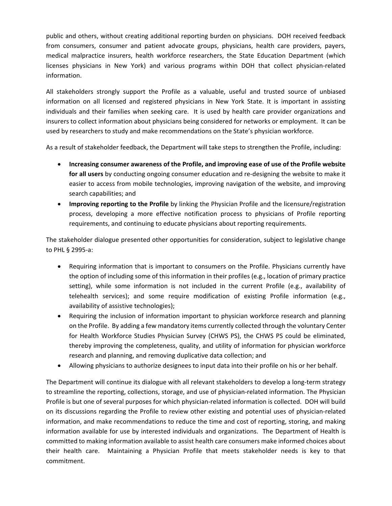public and others, without creating additional reporting burden on physicians. DOH received feedback from consumers, consumer and patient advocate groups, physicians, health care providers, payers, medical malpractice insurers, health workforce researchers, the State Education Department (which licenses physicians in New York) and various programs within DOH that collect physician‐related information.

All stakeholders strongly support the Profile as a valuable, useful and trusted source of unbiased information on all licensed and registered physicians in New York State. It is important in assisting individuals and their families when seeking care. It is used by health care provider organizations and insurers to collect information about physicians being considered for networks or employment. It can be used by researchers to study and make recommendations on the State's physician workforce.

As a result of stakeholder feedback, the Department will take steps to strengthen the Profile, including:

- **Increasing consumer awareness of the Profile, and improving ease of use of the Profile website for all users** by conducting ongoing consumer education and re‐designing the website to make it easier to access from mobile technologies, improving navigation of the website, and improving search capabilities; and
- **Improving reporting to the Profile** by linking the Physician Profile and the licensure/registration process, developing a more effective notification process to physicians of Profile reporting requirements, and continuing to educate physicians about reporting requirements.

The stakeholder dialogue presented other opportunities for consideration, subject to legislative change to PHL § 2995‐a:

- Requiring information that is important to consumers on the Profile. Physicians currently have the option of including some of this information in their profiles (e.g., location of primary practice setting), while some information is not included in the current Profile (e.g., availability of telehealth services); and some require modification of existing Profile information (e.g., availability of assistive technologies);
- Requiring the inclusion of information important to physician workforce research and planning on the Profile. By adding a few mandatory items currently collected through the voluntary Center for Health Workforce Studies Physician Survey (CHWS PS), the CHWS PS could be eliminated, thereby improving the completeness, quality, and utility of information for physician workforce research and planning, and removing duplicative data collection; and
- Allowing physicians to authorize designees to input data into their profile on his or her behalf.

The Department will continue its dialogue with all relevant stakeholders to develop a long‐term strategy to streamline the reporting, collections, storage, and use of physician‐related information. The Physician Profile is but one of several purposes for which physician‐related information is collected. DOH will build on its discussions regarding the Profile to review other existing and potential uses of physician‐related information, and make recommendations to reduce the time and cost of reporting, storing, and making information available for use by interested individuals and organizations. The Department of Health is committed to making information available to assist health care consumers make informed choices about their health care. Maintaining a Physician Profile that meets stakeholder needs is key to that commitment.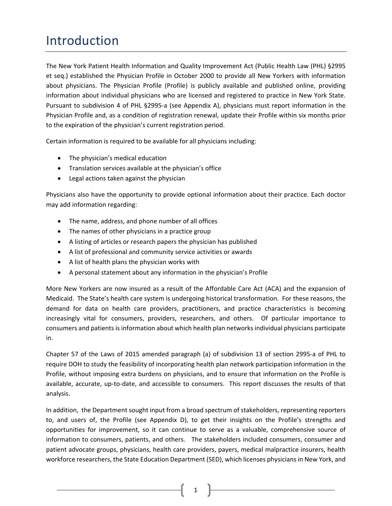### Introduction

The New York Patient Health Information and Quality Improvement Act (Public Health Law (PHL) §2995 et seq.) established the Physician Profile in October 2000 to provide all New Yorkers with information about physicians. The Physician Profile (Profile) is publicly available and published online, providing information about individual physicians who are licensed and registered to practice in New York State. Pursuant to subdivision 4 of PHL §2995‐a (see Appendix A), physicians must report information in the Physician Profile and, as a condition of registration renewal, update their Profile within six months prior to the expiration of the physician's current registration period.

Certain information is required to be available for all physicians including:

- The physician's medical education
- Translation services available at the physician's office
- Legal actions taken against the physician

Physicians also have the opportunity to provide optional information about their practice. Each doctor may add information regarding:

- The name, address, and phone number of all offices
- The names of other physicians in a practice group
- A listing of articles or research papers the physician has published
- A list of professional and community service activities or awards
- A list of health plans the physician works with
- A personal statement about any information in the physician's Profile

More New Yorkers are now insured as a result of the Affordable Care Act (ACA) and the expansion of Medicaid. The State's health care system is undergoing historical transformation. For these reasons, the demand for data on health care providers, practitioners, and practice characteristics is becoming increasingly vital for consumers, providers, researchers, and others. Of particular importance to consumers and patientsis information about which health plan networks individual physicians participate in.

Chapter 57 of the Laws of 2015 amended paragraph (a) of subdivision 13 of section 2995-a of PHL to require DOH to study the feasibility of incorporating health plan network participation information in the Profile, without imposing extra burdens on physicians, and to ensure that information on the Profile is available, accurate, up‐to‐date, and accessible to consumers. This report discusses the results of that analysis.

In addition, the Department sought input from a broad spectrum of stakeholders, representing reporters to, and users of, the Profile (see Appendix D), to get their insights on the Profile's strengths and opportunities for improvement, so it can continue to serve as a valuable, comprehensive source of information to consumers, patients, and others. The stakeholders included consumers, consumer and patient advocate groups, physicians, health care providers, payers, medical malpractice insurers, health workforce researchers, the State Education Department (SED), which licenses physicians in New York, and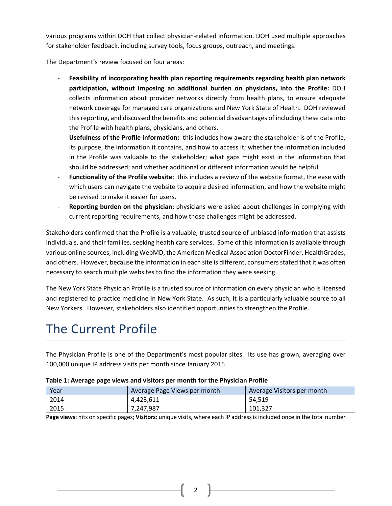various programs within DOH that collect physician‐related information. DOH used multiple approaches for stakeholder feedback, including survey tools, focus groups, outreach, and meetings.

The Department's review focused on four areas:

- ‐ **Feasibility of incorporating health plan reporting requirements regarding health plan network participation, without imposing an additional burden on physicians, into the Profile:** DOH collects information about provider networks directly from health plans, to ensure adequate network coverage for managed care organizations and New York State of Health. DOH reviewed this reporting, and discussed the benefits and potential disadvantages of including these data into the Profile with health plans, physicians, and others.
- ‐ **Usefulness of the Profile information:** this includes how aware the stakeholder is of the Profile, its purpose, the information it contains, and how to access it; whether the information included in the Profile was valuable to the stakeholder; what gaps might exist in the information that should be addressed; and whether additional or different information would be helpful.
- ‐ **Functionality of the Profile website:** this includes a review of the website format, the ease with which users can navigate the website to acquire desired information, and how the website might be revised to make it easier for users.
- ‐ **Reporting burden on the physician:** physicians were asked about challenges in complying with current reporting requirements, and how those challenges might be addressed.

Stakeholders confirmed that the Profile is a valuable, trusted source of unbiased information that assists individuals, and their families, seeking health care services. Some of this information is available through various online sources, including WebMD, the American Medical Association DoctorFinder, HealthGrades, and others. However, because the information in each site is different, consumersstated that it was often necessary to search multiple websites to find the information they were seeking.

The New York State Physician Profile is a trusted source of information on every physician who is licensed and registered to practice medicine in New York State. As such, it is a particularly valuable source to all New Yorkers. However, stakeholders also identified opportunities to strengthen the Profile.

## The Current Profile

The Physician Profile is one of the Department's most popular sites. Its use has grown, averaging over 100,000 unique IP address visits per month since January 2015.

| Year | Average Page Views per month | Average Visitors per month |
|------|------------------------------|----------------------------|
| 2014 | 4,423,611                    | 54.519                     |
| 2015 | 7,247,987                    | 101,327                    |

|  |  | Table 1: Average page views and visitors per month for the Physician Profile |
|--|--|------------------------------------------------------------------------------|
|--|--|------------------------------------------------------------------------------|

**Page views**: hits on specific pages; **Visitors:** unique visits, where each IP address is included once in the total number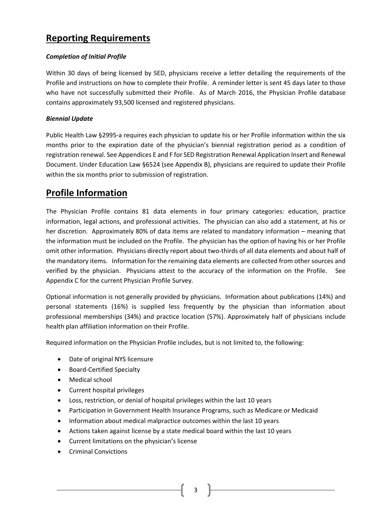#### **Reporting Requirements**

#### *Completion of Initial Profile*

Within 30 days of being licensed by SED, physicians receive a letter detailing the requirements of the Profile and instructions on how to complete their Profile. A reminder letter is sent 45 days later to those who have not successfully submitted their Profile. As of March 2016, the Physician Profile database contains approximately 93,500 licensed and registered physicians.

#### *Biennial Update*

Public Health Law §2995‐a requires each physician to update his or her Profile information within the six months prior to the expiration date of the physician's biennial registration period as a condition of registration renewal. See Appendices E and F for SED Registration Renewal Application Insert and Renewal Document. Under Education Law §6524 (see Appendix B), physicians are required to update their Profile within the six months prior to submission of registration.

### **Profile Information**

The Physician Profile contains 81 data elements in four primary categories: education, practice information, legal actions, and professional activities. The physician can also add a statement, at his or her discretion. Approximately 80% of data items are related to mandatory information – meaning that the information must be included on the Profile. The physician has the option of having his or her Profile omit other information. Physicians directly report about two‐thirds of all data elements and about half of the mandatory items. Information for the remaining data elements are collected from other sources and verified by the physician. Physicians attest to the accuracy of the information on the Profile. See Appendix C for the current Physician Profile Survey.

Optional information is not generally provided by physicians. Information about publications (14%) and personal statements (16%) is supplied less frequently by the physician than information about professional memberships (34%) and practice location (57%). Approximately half of physicians include health plan affiliation information on their Profile.

Required information on the Physician Profile includes, but is not limited to, the following:

- Date of original NYS licensure
- Board-Certified Specialty
- Medical school
- Current hospital privileges
- Loss, restriction, or denial of hospital privileges within the last 10 years
- Participation in Government Health Insurance Programs, such as Medicare or Medicaid
- Information about medical malpractice outcomes within the last 10 years
- Actions taken against license by a state medical board within the last 10 years
- Current limitations on the physician's license
- Criminal Convictions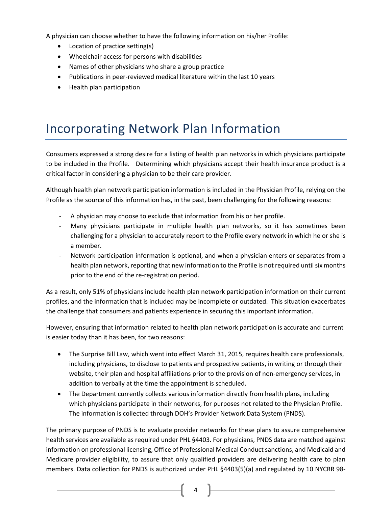A physician can choose whether to have the following information on his/her Profile:

- Location of practice setting(s)
- Wheelchair access for persons with disabilities
- Names of other physicians who share a group practice
- Publications in peer-reviewed medical literature within the last 10 years
- Health plan participation

### Incorporating Network Plan Information

Consumers expressed a strong desire for a listing of health plan networks in which physicians participate to be included in the Profile. Determining which physicians accept their health insurance product is a critical factor in considering a physician to be their care provider.

Although health plan network participation information is included in the Physician Profile, relying on the Profile as the source of this information has, in the past, been challenging for the following reasons:

- ‐ A physician may choose to exclude that information from his or her profile.
- Many physicians participate in multiple health plan networks, so it has sometimes been challenging for a physician to accurately report to the Profile every network in which he or she is a member.
- Network participation information is optional, and when a physician enters or separates from a health plan network, reporting that new information to the Profile is not required until six months prior to the end of the re‐registration period.

As a result, only 51% of physicians include health plan network participation information on their current profiles, and the information that is included may be incomplete or outdated. This situation exacerbates the challenge that consumers and patients experience in securing this important information.

However, ensuring that information related to health plan network participation is accurate and current is easier today than it has been, for two reasons:

- The Surprise Bill Law, which went into effect March 31, 2015, requires health care professionals, including physicians, to disclose to patients and prospective patients, in writing or through their website, their plan and hospital affiliations prior to the provision of non-emergency services, in addition to verbally at the time the appointment is scheduled.
- The Department currently collects various information directly from health plans, including which physicians participate in their networks, for purposes not related to the Physician Profile. The information is collected through DOH's Provider Network Data System (PNDS).

The primary purpose of PNDS is to evaluate provider networks for these plans to assure comprehensive health services are available as required under PHL §4403. For physicians, PNDS data are matched against information on professional licensing, Office of Professional Medical Conduct sanctions, and Medicaid and Medicare provider eligibility, to assure that only qualified providers are delivering health care to plan members. Data collection for PNDS is authorized under PHL §4403(5)(a) and regulated by 10 NYCRR 98‐

 $4 \parallel$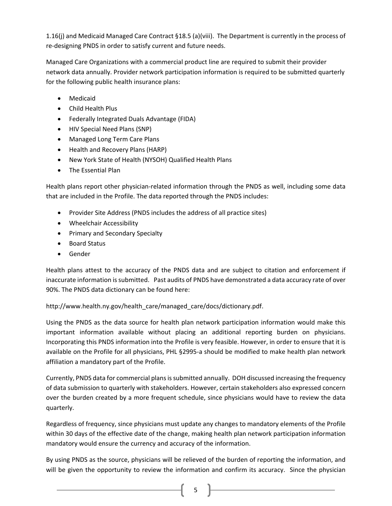1.16(j) and Medicaid Managed Care Contract §18.5 (a)(viii). The Department is currently in the process of re‐designing PNDS in order to satisfy current and future needs.

Managed Care Organizations with a commercial product line are required to submit their provider network data annually. Provider network participation information is required to be submitted quarterly for the following public health insurance plans:

- Medicaid
- Child Health Plus
- Federally Integrated Duals Advantage (FIDA)
- HIV Special Need Plans (SNP)
- Managed Long Term Care Plans
- Health and Recovery Plans (HARP)
- New York State of Health (NYSOH) Qualified Health Plans
- The Essential Plan

Health plans report other physician-related information through the PNDS as well, including some data that are included in the Profile. The data reported through the PNDS includes:

- Provider Site Address (PNDS includes the address of all practice sites)
- Wheelchair Accessibility
- Primary and Secondary Specialty
- Board Status
- **•** Gender

Health plans attest to the accuracy of the PNDS data and are subject to citation and enforcement if inaccurate information issubmitted. Past audits of PNDS have demonstrated a data accuracy rate of over 90%. The PNDS data dictionary can be found here:

http://www.health.ny.gov/health\_care/managed\_care/docs/dictionary.pdf.

Using the PNDS as the data source for health plan network participation information would make this important information available without placing an additional reporting burden on physicians. Incorporating this PNDS information into the Profile is very feasible. However, in order to ensure that it is available on the Profile for all physicians, PHL §2995-a should be modified to make health plan network affiliation a mandatory part of the Profile.

Currently, PNDS data for commercial plans is submitted annually. DOH discussed increasing the frequency of data submission to quarterly with stakeholders. However, certain stakeholders also expressed concern over the burden created by a more frequent schedule, since physicians would have to review the data quarterly.

Regardless of frequency, since physicians must update any changes to mandatory elements of the Profile within 30 days of the effective date of the change, making health plan network participation information mandatory would ensure the currency and accuracy of the information.

By using PNDS as the source, physicians will be relieved of the burden of reporting the information, and will be given the opportunity to review the information and confirm its accuracy. Since the physician

 $5 \quad \blacksquare$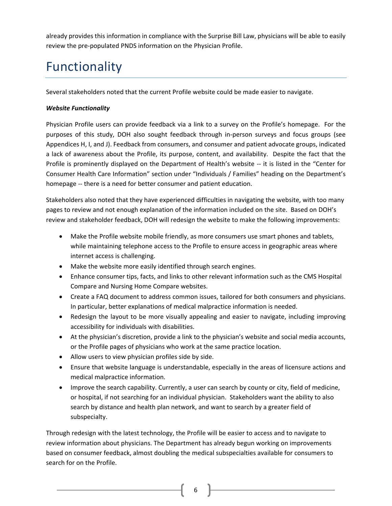already provides this information in compliance with the Surprise Bill Law, physicians will be able to easily review the pre‐populated PNDS information on the Physician Profile.

# Functionality

Several stakeholders noted that the current Profile website could be made easier to navigate.

#### *Website Functionality*

Physician Profile users can provide feedback via a link to a survey on the Profile's homepage. For the purposes of this study, DOH also sought feedback through in‐person surveys and focus groups (see Appendices H, I, and J). Feedback from consumers, and consumer and patient advocate groups, indicated a lack of awareness about the Profile, its purpose, content, and availability. Despite the fact that the Profile is prominently displayed on the Department of Health's website ‐‐ it is listed in the "Center for Consumer Health Care Information" section under "Individuals / Families" heading on the Department's homepage ‐‐ there is a need for better consumer and patient education.

Stakeholders also noted that they have experienced difficulties in navigating the website, with too many pages to review and not enough explanation of the information included on the site. Based on DOH's review and stakeholder feedback, DOH will redesign the website to make the following improvements:

- Make the Profile website mobile friendly, as more consumers use smart phones and tablets, while maintaining telephone access to the Profile to ensure access in geographic areas where internet access is challenging.
- Make the website more easily identified through search engines.
- Enhance consumer tips, facts, and links to other relevant information such as the CMS Hospital Compare and Nursing Home Compare websites.
- Create a FAQ document to address common issues, tailored for both consumers and physicians. In particular, better explanations of medical malpractice information is needed.
- Redesign the layout to be more visually appealing and easier to navigate, including improving accessibility for individuals with disabilities.
- At the physician's discretion, provide a link to the physician's website and social media accounts, or the Profile pages of physicians who work at the same practice location.
- Allow users to view physician profiles side by side.
- Ensure that website language is understandable, especially in the areas of licensure actions and medical malpractice information.
- Improve the search capability. Currently, a user can search by county or city, field of medicine, or hospital, if not searching for an individual physician. Stakeholders want the ability to also search by distance and health plan network, and want to search by a greater field of subspecialty.

Through redesign with the latest technology, the Profile will be easier to access and to navigate to review information about physicians. The Department has already begun working on improvements based on consumer feedback, almost doubling the medical subspecialties available for consumers to search for on the Profile.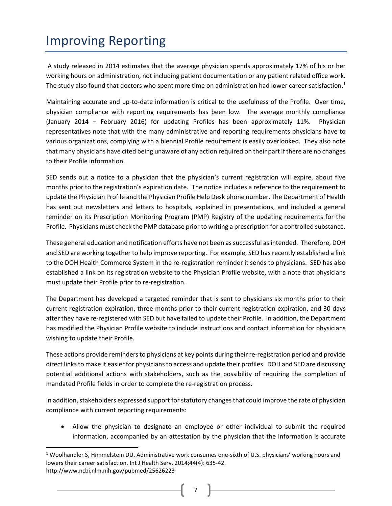### Improving Reporting

A study released in 2014 estimates that the average physician spends approximately 17% of his or her working hours on administration, not including patient documentation or any patient related office work. The study also found that doctors who spent more time on administration had lower career satisfaction.<sup>1</sup>

Maintaining accurate and up‐to‐date information is critical to the usefulness of the Profile. Over time, physician compliance with reporting requirements has been low. The average monthly compliance (January 2014 – February 2016) for updating Profiles has been approximately 11%. Physician representatives note that with the many administrative and reporting requirements physicians have to various organizations, complying with a biennial Profile requirement is easily overlooked. They also note that many physicians have cited being unaware of any action required on their part if there are no changes to their Profile information.

SED sends out a notice to a physician that the physician's current registration will expire, about five months prior to the registration's expiration date. The notice includes a reference to the requirement to update the Physician Profile and the Physician Profile Help Desk phone number. The Department of Health has sent out newsletters and letters to hospitals, explained in presentations, and included a general reminder on its Prescription Monitoring Program (PMP) Registry of the updating requirements for the Profile. Physicians must check the PMP database prior to writing a prescription for a controlled substance.

These general education and notification efforts have not been as successful as intended. Therefore, DOH and SED are working together to help improve reporting. For example, SED has recently established a link to the DOH Health Commerce System in the re-registration reminder it sends to physicians. SED has also established a link on its registration website to the Physician Profile website, with a note that physicians must update their Profile prior to re‐registration.

The Department has developed a targeted reminder that is sent to physicians six months prior to their current registration expiration, three months prior to their current registration expiration, and 30 days after they have re‐registered with SED but have failed to update their Profile. In addition, the Department has modified the Physician Profile website to include instructions and contact information for physicians wishing to update their Profile.

These actions provide reminders to physicians at key points during their re-registration period and provide direct links to make it easier for physicians to access and update their profiles. DOH and SED are discussing potential additional actions with stakeholders, such as the possibility of requiring the completion of mandated Profile fields in order to complete the re‐registration process.

In addition, stakeholders expressed support for statutory changes that could improve the rate of physician compliance with current reporting requirements:

 Allow the physician to designate an employee or other individual to submit the required information, accompanied by an attestation by the physician that the information is accurate

7 |

<sup>1</sup> Woolhandler S, Himmelstein DU. Administrative work consumes one‐sixth of U.S. physicians' working hours and lowers their career satisfaction. Int J Health Serv. 2014;44(4): 635‐42. http://www.ncbi.nlm.nih.gov/pubmed/25626223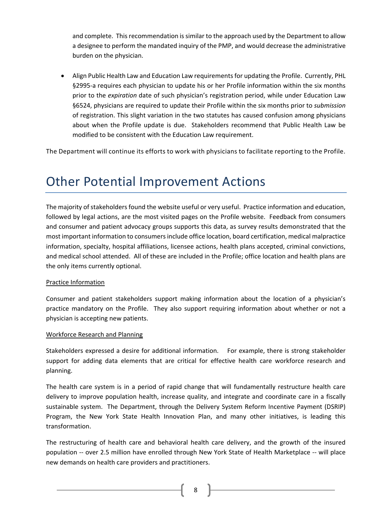and complete. Thisrecommendation issimilar to the approach used by the Department to allow a designee to perform the mandated inquiry of the PMP, and would decrease the administrative burden on the physician.

 Align Public Health Law and Education Law requirementsfor updating the Profile. Currently, PHL §2995-a requires each physician to update his or her Profile information within the six months prior to the *expiration* date of such physician's registration period, while under Education Law §6524, physicians are required to update their Profile within the six months prior to *submission* of registration. This slight variation in the two statutes has caused confusion among physicians about when the Profile update is due. Stakeholders recommend that Public Health Law be modified to be consistent with the Education Law requirement.

The Department will continue its efforts to work with physicians to facilitate reporting to the Profile.

### Other Potential Improvement Actions

The majority of stakeholders found the website useful or very useful. Practice information and education, followed by legal actions, are the most visited pages on the Profile website. Feedback from consumers and consumer and patient advocacy groups supports this data, as survey results demonstrated that the most important information to consumersinclude office location, board certification, medical malpractice information, specialty, hospital affiliations, licensee actions, health plans accepted, criminal convictions, and medical school attended. All of these are included in the Profile; office location and health plans are the only items currently optional.

#### Practice Information

Consumer and patient stakeholders support making information about the location of a physician's practice mandatory on the Profile. They also support requiring information about whether or not a physician is accepting new patients.

#### Workforce Research and Planning

Stakeholders expressed a desire for additional information. For example, there is strong stakeholder support for adding data elements that are critical for effective health care workforce research and planning.

The health care system is in a period of rapid change that will fundamentally restructure health care delivery to improve population health, increase quality, and integrate and coordinate care in a fiscally sustainable system. The Department, through the Delivery System Reform Incentive Payment (DSRIP) Program, the New York State Health Innovation Plan, and many other initiatives, is leading this transformation.

The restructuring of health care and behavioral health care delivery, and the growth of the insured population ‐‐ over 2.5 million have enrolled through New York State of Health Marketplace ‐‐ will place new demands on health care providers and practitioners.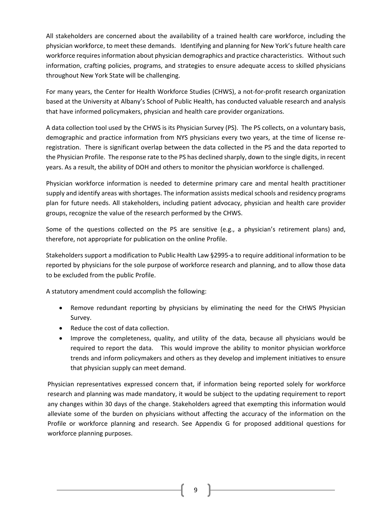All stakeholders are concerned about the availability of a trained health care workforce, including the physician workforce, to meet these demands. Identifying and planning for New York's future health care workforce requires information about physician demographics and practice characteristics. Without such information, crafting policies, programs, and strategies to ensure adequate access to skilled physicians throughout New York State will be challenging.

For many years, the Center for Health Workforce Studies (CHWS), a not-for-profit research organization based at the University at Albany's School of Public Health, has conducted valuable research and analysis that have informed policymakers, physician and health care provider organizations.

A data collection tool used by the CHWS is its Physician Survey (PS). The PS collects, on a voluntary basis, demographic and practice information from NYS physicians every two years, at the time of license re‐ registration. There is significant overlap between the data collected in the PS and the data reported to the Physician Profile. The response rate to the PS has declined sharply, down to the single digits, in recent years. As a result, the ability of DOH and others to monitor the physician workforce is challenged.

Physician workforce information is needed to determine primary care and mental health practitioner supply and identify areas with shortages. The information assists medical schools and residency programs plan for future needs. All stakeholders, including patient advocacy, physician and health care provider groups, recognize the value of the research performed by the CHWS.

Some of the questions collected on the PS are sensitive (e.g., a physician's retirement plans) and, therefore, not appropriate for publication on the online Profile.

Stakeholders support a modification to Public Health Law §2995‐a to require additional information to be reported by physicians for the sole purpose of workforce research and planning, and to allow those data to be excluded from the public Profile.

A statutory amendment could accomplish the following:

- Remove redundant reporting by physicians by eliminating the need for the CHWS Physician Survey.
- Reduce the cost of data collection.
- Improve the completeness, quality, and utility of the data, because all physicians would be required to report the data. This would improve the ability to monitor physician workforce trends and inform policymakers and others as they develop and implement initiatives to ensure that physician supply can meet demand.

Physician representatives expressed concern that, if information being reported solely for workforce research and planning was made mandatory, it would be subject to the updating requirement to report any changes within 30 days of the change. Stakeholders agreed that exempting this information would alleviate some of the burden on physicians without affecting the accuracy of the information on the Profile or workforce planning and research. See Appendix G for proposed additional questions for workforce planning purposes.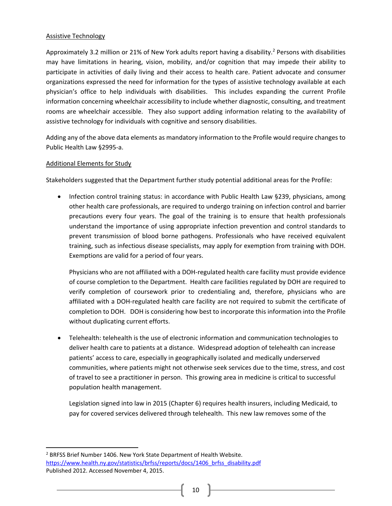#### Assistive Technology

Approximately 3.2 million or 21% of New York adults report having a disability.<sup>2</sup> Persons with disabilities may have limitations in hearing, vision, mobility, and/or cognition that may impede their ability to participate in activities of daily living and their access to health care. Patient advocate and consumer organizations expressed the need for information for the types of assistive technology available at each physician's office to help individuals with disabilities. This includes expanding the current Profile information concerning wheelchair accessibility to include whether diagnostic, consulting, and treatment rooms are wheelchair accessible. They also support adding information relating to the availability of assistive technology for individuals with cognitive and sensory disabilities.

Adding any of the above data elements as mandatory information to the Profile would require changes to Public Health Law §2995‐a.

#### Additional Elements for Study

Stakeholders suggested that the Department further study potential additional areas for the Profile:

• Infection control training status: in accordance with Public Health Law §239, physicians, among other health care professionals, are required to undergo training on infection control and barrier precautions every four years. The goal of the training is to ensure that health professionals understand the importance of using appropriate infection prevention and control standards to prevent transmission of blood borne pathogens. Professionals who have received equivalent training, such as infectious disease specialists, may apply for exemption from training with DOH. Exemptions are valid for a period of four years.

Physicians who are not affiliated with a DOH‐regulated health care facility must provide evidence of course completion to the Department. Health care facilities regulated by DOH are required to verify completion of coursework prior to credentialing and, therefore, physicians who are affiliated with a DOH‐regulated health care facility are not required to submit the certificate of completion to DOH. DOH is considering how best to incorporate this information into the Profile without duplicating current efforts.

 Telehealth: telehealth is the use of electronic information and communication technologies to deliver health care to patients at a distance. Widespread adoption of telehealth can increase patients' access to care, especially in geographically isolated and medically underserved communities, where patients might not otherwise seek services due to the time, stress, and cost of travel to see a practitioner in person. This growing area in medicine is critical to successful population health management.

Legislation signed into law in 2015 (Chapter 6) requires health insurers, including Medicaid, to pay for covered services delivered through telehealth. This new law removes some of the

<sup>2</sup> BRFSS Brief Number 1406. New York State Department of Health Website. https://www.health.ny.gov/statistics/brfss/reports/docs/1406\_brfss\_disability.pdf Published 2012. Accessed November 4, 2015.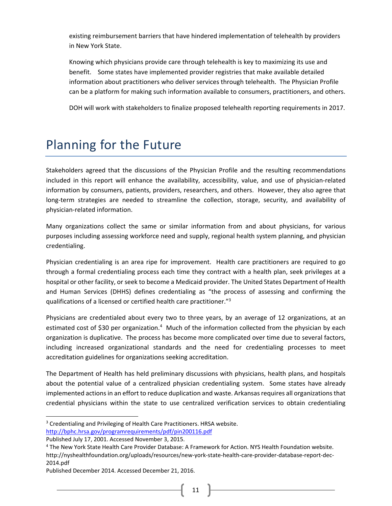existing reimbursement barriers that have hindered implementation of telehealth by providers in New York State.

Knowing which physicians provide care through telehealth is key to maximizing its use and benefit. Some states have implemented provider registries that make available detailed information about practitioners who deliver services through telehealth. The Physician Profile can be a platform for making such information available to consumers, practitioners, and others.

DOH will work with stakeholders to finalize proposed telehealth reporting requirements in 2017.

### Planning for the Future

Stakeholders agreed that the discussions of the Physician Profile and the resulting recommendations included in this report will enhance the availability, accessibility, value, and use of physician‐related information by consumers, patients, providers, researchers, and others. However, they also agree that long-term strategies are needed to streamline the collection, storage, security, and availability of physician‐related information.

Many organizations collect the same or similar information from and about physicians, for various purposes including assessing workforce need and supply, regional health system planning, and physician credentialing.

Physician credentialing is an area ripe for improvement. Health care practitioners are required to go through a formal credentialing process each time they contract with a health plan, seek privileges at a hospital or other facility, or seek to become a Medicaid provider. The United States Department of Health and Human Services (DHHS) defines credentialing as "the process of assessing and confirming the qualifications of a licensed or certified health care practitioner."3

Physicians are credentialed about every two to three years, by an average of 12 organizations, at an estimated cost of \$30 per organization.<sup>4</sup> Much of the information collected from the physician by each organization is duplicative. The process has become more complicated over time due to several factors, including increased organizational standards and the need for credentialing processes to meet accreditation guidelines for organizations seeking accreditation.

The Department of Health has held preliminary discussions with physicians, health plans, and hospitals about the potential value of a centralized physician credentialing system. Some states have already implemented actions in an effort to reduce duplication and waste. Arkansas requires all organizations that credential physicians within the state to use centralized verification services to obtain credentialing

<sup>&</sup>lt;sup>3</sup> Credentialing and Privileging of Health Care Practitioners. HRSA website.

http://bphc.hrsa.gov/programrequirements/pdf/pin200116.pdf

Published July 17, 2001. Accessed November 3, 2015.

<sup>4</sup> The New York State Health Care Provider Database: A Framework for Action. NYS Health Foundation website. http://nyshealthfoundation.org/uploads/resources/new‐york‐state‐health‐care‐provider‐database‐report‐dec‐ 2014.pdf

Published December 2014. Accessed December 21, 2016.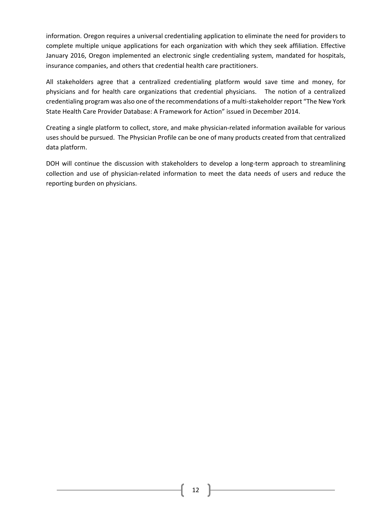information. Oregon requires a universal credentialing application to eliminate the need for providers to complete multiple unique applications for each organization with which they seek affiliation. Effective January 2016, Oregon implemented an electronic single credentialing system, mandated for hospitals, insurance companies, and others that credential health care practitioners.

All stakeholders agree that a centralized credentialing platform would save time and money, for physicians and for health care organizations that credential physicians. The notion of a centralized credentialing program was also one of the recommendations of a multi‐stakeholder report "The New York State Health Care Provider Database: A Framework for Action" issued in December 2014.

Creating a single platform to collect, store, and make physician‐related information available for various uses should be pursued. The Physician Profile can be one of many products created from that centralized data platform.

DOH will continue the discussion with stakeholders to develop a long-term approach to streamlining collection and use of physician‐related information to meet the data needs of users and reduce the reporting burden on physicians.